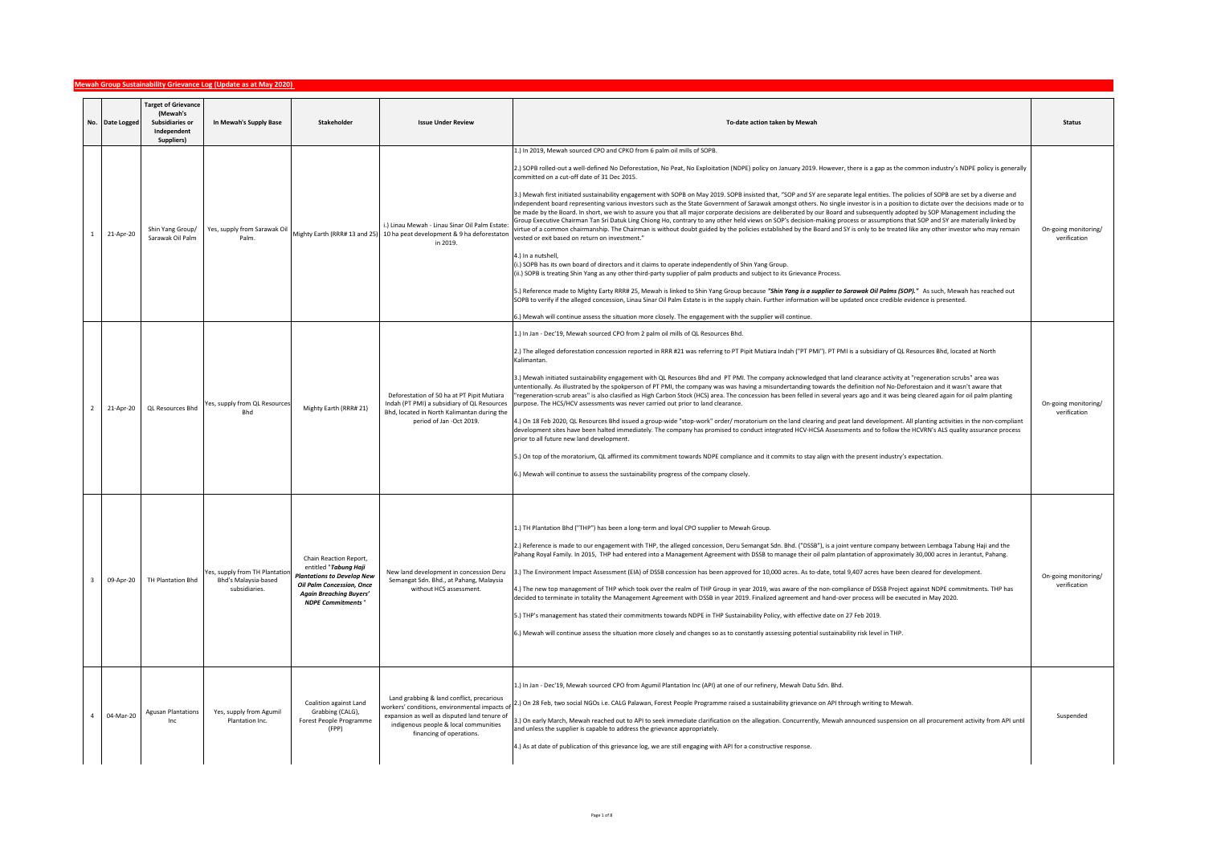## **Mewah Group Sustainability Grievance Log (Update as at May 2020)**

| No.                     | Date Logged | <b>Target of Grievance</b><br>(Mewah's<br>Subsidiaries or<br>Independent<br>Suppliers) | In Mewah's Supply Base                                                      | Stakeholder                                                                                                                                                                      | <b>Issue Under Review</b>                                                                                                                                                                                       | To-date action taken by Mewah                                                                                                                                                                                                                                                                                                                                                                                                                                                                                                                                                                                                                                                                                                                                                                                                                                                                                                                                                                                                                                                                                                                                                                                                                                                                                                                                                                                                                                                                                                                                                                                                                                                                                                                                                                                                                                                                                                                                                                                                                    | <b>Status</b>                        |
|-------------------------|-------------|----------------------------------------------------------------------------------------|-----------------------------------------------------------------------------|----------------------------------------------------------------------------------------------------------------------------------------------------------------------------------|-----------------------------------------------------------------------------------------------------------------------------------------------------------------------------------------------------------------|--------------------------------------------------------------------------------------------------------------------------------------------------------------------------------------------------------------------------------------------------------------------------------------------------------------------------------------------------------------------------------------------------------------------------------------------------------------------------------------------------------------------------------------------------------------------------------------------------------------------------------------------------------------------------------------------------------------------------------------------------------------------------------------------------------------------------------------------------------------------------------------------------------------------------------------------------------------------------------------------------------------------------------------------------------------------------------------------------------------------------------------------------------------------------------------------------------------------------------------------------------------------------------------------------------------------------------------------------------------------------------------------------------------------------------------------------------------------------------------------------------------------------------------------------------------------------------------------------------------------------------------------------------------------------------------------------------------------------------------------------------------------------------------------------------------------------------------------------------------------------------------------------------------------------------------------------------------------------------------------------------------------------------------------------|--------------------------------------|
| $\overline{1}$          | 21-Apr-20   | Shin Yang Group/<br>Sarawak Oil Palm                                                   | Yes, supply from Sarawak Oil<br>Palm.                                       |                                                                                                                                                                                  | i.) Linau Mewah - Linau Sinar Oil Palm Estate:<br>Mighty Earth (RRR# 13 and 25) 10 ha peat development & 9 ha deforestaton<br>in 2019.                                                                          | 1.) In 2019, Mewah sourced CPO and CPKO from 6 palm oil mills of SOPB.<br>2.) SOPB rolled-out a well-defined No Deforestation, No Peat, No Exploitation (NDPE) policy on January 2019. However, there is a gap as the common industry's NDPE policy is generally<br>committed on a cut-off date of 31 Dec 2015.<br>3.) Mewah first initiated sustainability engagement with SOPB on May 2019. SOPB insisted that, "SOP and SY are separate legal entities. The policies of SOPB are set by a diverse and<br>independent board representing various investors such as the State Government of Sarawak amongst others. No single investor is in a position to dictate over the decisions made or to<br>be made by the Board. In short, we wish to assure you that all major corporate decisions are deliberated by our Board and subsequently adopted by SOP Management including the<br>Group Executive Chairman Tan Sri Datuk Ling Chiong Ho, contrary to any other held views on SOP's decision-making process or assumptions that SOP and SY are materially linked by<br>virtue of a common chairmanship. The Chairman is without doubt guided by the policies established by the Board and SY is only to be treated like any other investor who may remain<br>vested or exit based on return on investment."<br>4.) In a nutshell.<br>(i.) SOPB has its own board of directors and it claims to operate independently of Shin Yang Group.<br>(ii.) SOPB is treating Shin Yang as any other third-party supplier of palm products and subject to its Grievance Process.<br>5.) Reference made to Mighty Earty RRR# 25, Mewah is linked to Shin Yang Group because "Shin Yang is a supplier to Sarawak Oil Palms (SOP)." As such, Mewah has reached out<br>SOPB to verify if the alleged concession, Linau Sinar Oil Palm Estate is in the supply chain. Further information will be updated once credible evidence is presented.<br>5.) Mewah will continue assess the situation more closely. The engagement with the supplier will continue. | On-going monitoring/<br>verification |
| $\overline{2}$          | 21-Apr-20   | <b>QL Resources Bhd</b>                                                                | Yes, supply from QL Resources<br><b>Bhd</b>                                 | Mighty Earth (RRR# 21)                                                                                                                                                           | Deforestation of 50 ha at PT Pipit Mutiara<br>Indah (PT PMI) a subsidiary of QL Resources<br>Bhd, located in North Kalimantan during the<br>period of Jan -Oct 2019.                                            | 1.) In Jan - Dec'19, Mewah sourced CPO from 2 palm oil mills of QL Resources Bhd.<br>2.) The alleged deforestation concession reported in RRR #21 was referring to PT Pipit Mutiara Indah ("PT PMI"). PT PMI is a subsidiary of QL Resources Bhd, located at North<br>Kalimantan.<br>3.) Mewah initiated sustainability engagement with QL Resources Bhd and PT PMI. The company acknowledged that land clearance activity at "regeneration scrubs" area was<br>untentionally. As illustrated by the spokperson of PT PMI, the company was was having a misundertanding towards the definition nof No-Deforestaion and it wasn't aware that<br>'regeneration-scrub areas" is also clasified as High Carbon Stock (HCS) area. The concession has been felled in several years ago and it was being cleared again for oil palm planting<br>purpose. The HCS/HCV assessments was never carried out prior to land clearance.<br>4.) On 18 Feb 2020, QL Resources Bhd issued a group-wide "stop-work" order/ moratorium on the land clearing and peat land development. All planting activities in the non-compliant<br>development sites have been halted immediately. The company has promised to conduct integrated HCV-HCSA Assessments and to follow the HCVRN's ALS quality assurance process<br>prior to all future new land development.<br>5.) On top of the moratorium, QL affirmed its commitment towards NDPE compliance and it commits to stay align with the present industry's expectation.<br>6.) Mewah will continue to assess the sustainability progress of the company closely.                                                                                                                                                                                                                                                                                                                                                                                                                                                   | On-going monitoring/<br>verification |
| $\overline{\mathbf{3}}$ | 09-Apr-20   | TH Plantation Bhd                                                                      | es, supply from TH Plantatio<br><b>Bhd's Malaysia-based</b><br>subsidiaries | Chain Reaction Report,<br>entitled "Tabung Haji<br><b>Plantations to Develop New</b><br>Oil Palm Concession, Once<br><b>Again Breaching Buyers'</b><br><b>NDPE Commitments</b> " | New land development in concession Deru<br>Semangat Sdn. Bhd., at Pahang, Malaysia<br>without HCS assessment.                                                                                                   | 1.) TH Plantation Bhd ("THP") has been a long-term and loyal CPO supplier to Mewah Group.<br>2.) Reference is made to our engagement with THP, the alleged concession, Deru Semangat Sdn. Bhd. ("DSSB"), is a joint venture company between Lembaga Tabung Haji and the<br>Pahang Royal Family. In 2015, THP had entered into a Management Agreement with DSSB to manage their oil palm plantation of approximately 30,000 acres in Jerantut, Pahang.<br>3.) The Environment Impact Assessment (EIA) of DSSB concession has been approved for 10,000 acres. As to-date, total 9,407 acres have been cleared for development.<br>4.) The new top management of THP which took over the realm of THP Group in year 2019, was aware of the non-compliance of DSSB Project against NDPE commitments. THP has<br>decided to terminate in totality the Management Agreement with DSSB in year 2019. Finalized agreement and hand-over process will be executed in May 2020.<br>5.) THP's management has stated their commitments towards NDPE in THP Sustainability Policy, with effective date on 27 Feb 2019.<br>6.) Mewah will continue assess the situation more closely and changes so as to constantly assessing potential sustainability risk level in THP.                                                                                                                                                                                                                                                                                                                                                                                                                                                                                                                                                                                                                                                                                                                                                                                     | On-going monitoring/<br>verification |
| $\overline{a}$          | 04-Mar-20   | <b>Agusan Plantations</b><br>Inc.                                                      | Yes, supply from Agumil<br>Plantation Inc.                                  | Coalition against Land<br>Grabbing (CALG),<br>Forest People Programme<br>(FPP)                                                                                                   | Land grabbing & land conflict, precarious<br>workers' conditions, environmental impacts of<br>expansion as well as disputed land tenure of<br>indigenous people & local communities<br>financing of operations. | 1.) In Jan - Dec'19, Mewah sourced CPO from Agumil Plantation Inc (API) at one of our refinery, Mewah Datu Sdn. Bhd.<br>2.) On 28 Feb, two social NGOs i.e. CALG Palawan, Forest People Programme raised a sustainability grievance on API through writing to Mewah.<br>I.) On early March, Mewah reached out to API to seek immediate clarification on the allegation. Concurrently, Mewah announced suspension on all procurement activity from API until<br>and unless the supplier is capable to address the grievance appropriately.<br>4.) As at date of publication of this grievance log, we are still engaging with API for a constructive response.                                                                                                                                                                                                                                                                                                                                                                                                                                                                                                                                                                                                                                                                                                                                                                                                                                                                                                                                                                                                                                                                                                                                                                                                                                                                                                                                                                                    | Suspended                            |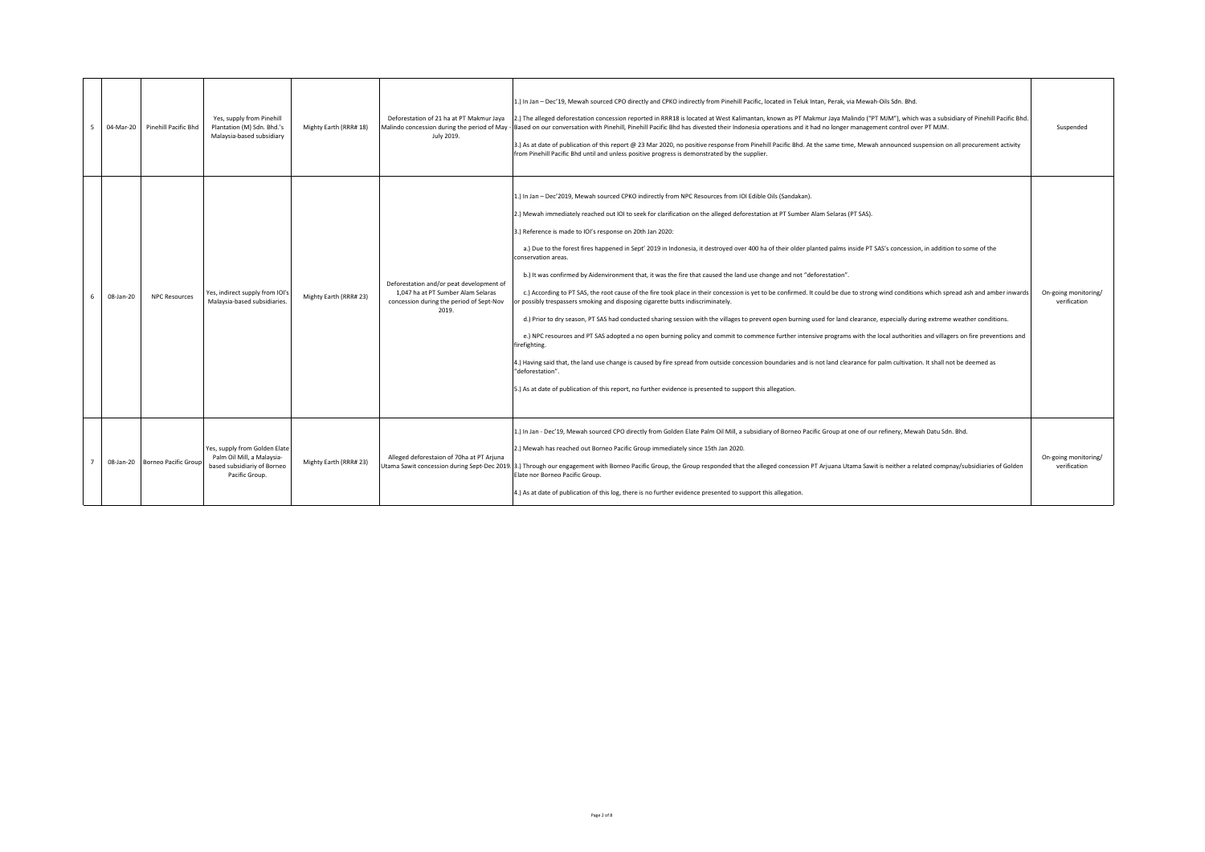| -5 | 04-Mar-20 Pinehill Pacific Bhd    | Yes, supply from Pinehill<br>Plantation (M) Sdn. Bhd.'s<br>Malaysia-based subsidiary                         | Mighty Earth (RRR# 18) | Deforestation of 21 ha at PT Makmur Jaya<br>Malindo concession during the period of May -<br>July 2019.                             | 1.) In Jan - Dec'19, Mewah sourced CPO directly and CPKO indirectly from Pinehill Pacific, located in Teluk Intan, Perak, via Mewah-Oils Sdn. Bhd.<br>2.) The alleged deforestation concession reported in RRR18 is located at West Kalimantan, known as PT Makmur Jaya Malindo ("PT MJM"), which was a subsidiary of Pinehill Pacific Bhd.<br>Based on our conversation with Pinehill, Pinehill Pacific Bhd has divested their Indonesia operations and it had no longer management control over PT MJM.<br>3.) As at date of publication of this report @ 23 Mar 2020, no positive response from Pinehill Pacific Bhd. At the same time, Mewah announced suspension on all procurement activity<br>from Pinehill Pacific Bhd until and unless positive progress is demonstrated by the supplier.                                                                                                                                                                                                                                                                                                                                                                                                                                                                                                                                                                                                                                                                                                                                                                                                                                  | Suspended                            |
|----|-----------------------------------|--------------------------------------------------------------------------------------------------------------|------------------------|-------------------------------------------------------------------------------------------------------------------------------------|-------------------------------------------------------------------------------------------------------------------------------------------------------------------------------------------------------------------------------------------------------------------------------------------------------------------------------------------------------------------------------------------------------------------------------------------------------------------------------------------------------------------------------------------------------------------------------------------------------------------------------------------------------------------------------------------------------------------------------------------------------------------------------------------------------------------------------------------------------------------------------------------------------------------------------------------------------------------------------------------------------------------------------------------------------------------------------------------------------------------------------------------------------------------------------------------------------------------------------------------------------------------------------------------------------------------------------------------------------------------------------------------------------------------------------------------------------------------------------------------------------------------------------------------------------------------------------------------------------------------------------------|--------------------------------------|
|    | 08-Jan-20<br><b>NPC Resources</b> | Yes, indirect supply from IOI's<br>Malaysia-based subsidiaries.                                              | Mighty Earth (RRR# 23) | Deforestation and/or peat development of<br>1.047 ha at PT Sumber Alam Selaras<br>concession during the period of Sept-Nov<br>2019. | 1.) In Jan - Dec'2019, Mewah sourced CPKO indirectly from NPC Resources from IOI Edible Oils (Sandakan).<br>2.) Mewah immediately reached out IOI to seek for clarification on the alleged deforestation at PT Sumber Alam Selaras (PT SAS).<br>3.) Reference is made to IOI's response on 20th Jan 2020:<br>a.) Due to the forest fires happened in Sept' 2019 in Indonesia, it destroyed over 400 ha of their older planted palms inside PT SAS's concession, in addition to some of the<br>conservation areas.<br>b.) It was confirmed by Aidenvironment that, it was the fire that caused the land use change and not "deforestation".<br>c.) According to PT SAS, the root cause of the fire took place in their concession is yet to be confirmed. It could be due to strong wind conditions which spread ash and amber inwards<br>r possibly trespassers smoking and disposing cigarette butts indiscriminately.<br>d.) Prior to dry season, PT SAS had conducted sharing session with the villages to prevent open burning used for land clearance, especially during extreme weather conditions.<br>e.) NPC resources and PT SAS adopted a no open burning policy and commit to commence further intensive programs with the local authorities and villagers on fire preventions and<br>firefighting.<br>4.) Having said that, the land use change is caused by fire spread from outside concession boundaries and is not land clearance for palm cultivation. It shall not be deemed as<br>"deforestation".<br>5.) As at date of publication of this report, no further evidence is presented to support this allegation. | On-going monitoring/<br>verification |
|    | 08-Jan-20 Borneo Pacific Group    | Yes, supply from Golden Elate<br>Palm Oil Mill, a Malaysia-<br>based subsidiariy of Borneo<br>Pacific Group. | Mighty Earth (RRR# 23) | Alleged deforestaion of 70ha at PT Arjuna                                                                                           | 1.) In Jan - Dec'19, Mewah sourced CPO directly from Golden Elate Palm Oil Mill, a subsidiary of Borneo Pacific Group at one of our refinery, Mewah Datu Sdn. Bhd.<br>2.) Mewah has reached out Borneo Pacific Group immediately since 15th Jan 2020.<br>Utama Sawit concession during Sept-Dec 2019. 3.) Through our engagement with Borneo Pacific Group, the Group responded that the alleged concession PT Arjuana Utama Sawit is neither a related compnay/subsidiaries of Golden<br>Elate nor Borneo Pacific Group.<br>4.) As at date of publication of this log, there is no further evidence presented to support this allegation.                                                                                                                                                                                                                                                                                                                                                                                                                                                                                                                                                                                                                                                                                                                                                                                                                                                                                                                                                                                          | On-going monitoring/<br>verification |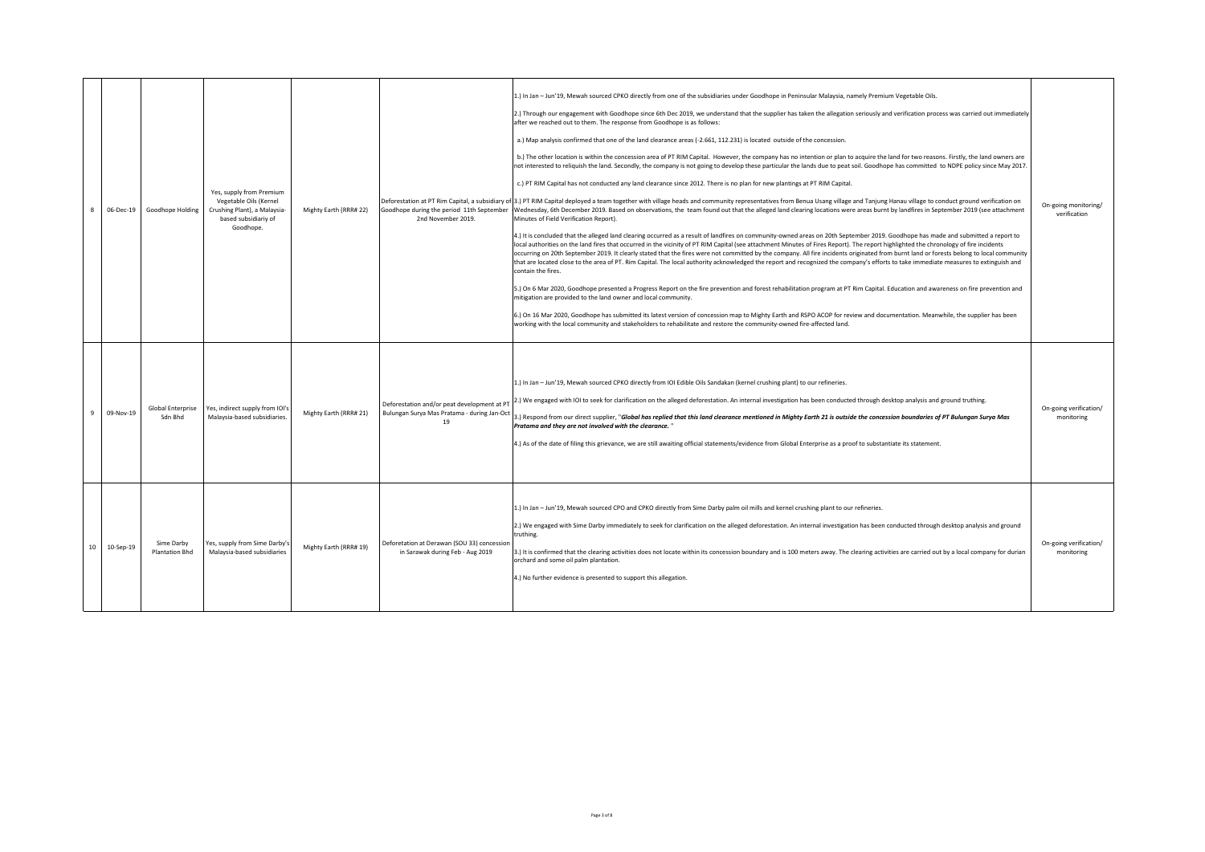| 06-Dec-19                     | Goodhope Holding                    | Yes, supply from Premium<br>Vegetable Oils (Kernel<br>Crushing Plant), a Malaysia-<br>based subsidiariy of<br>Goodhope. | Mighty Earth (RRR# 22) | Goodhope during the period 11th September<br>2nd November 2019.                                  | 1.) In Jan - Jun'19, Mewah sourced CPKO directly from one of the subsidiaries under Goodhope in Peninsular Malaysia, namely Premium Vegetable Oils.<br>2.) Through our engagement with Goodhope since 6th Dec 2019, we understand that the supplier has taken the allegation seriously and verification process was carried out immediately<br>after we reached out to them. The response from Goodhope is as follows:<br>a.) Map analysis confirmed that one of the land clearance areas (-2.661, 112.231) is located outside of the concession.<br>b.) The other location is within the concession area of PT RIM Capital. However, the company has no intention or plan to acquire the land for two reasons. Firstly, the land owners are<br>not interested to reliquish the land. Secondly, the company is not going to develop these particular the lands due to peat soil. Goodhope has committed to NDPE policy since May 2017.<br>c.) PT RIM Capital has not conducted any land clearance since 2012. There is no plan for new plantings at PT RIM Capital.<br>Deforestation at PT Rim Capital, a subsidiary of 3.) PT RIM Capital deployed a team together with village heads and community representatives from Benua Usang village and Tanjung Hanau village to conduct ground verificatio<br>Wednesday, 6th December 2019. Based on observations, the team found out that the alleged land clearing locations were areas burnt by landfires in September 2019 (see attachment<br>Minutes of Field Verification Report).<br>4.) It is concluded that the alleged land clearing occurred as a result of landfires on community-owned areas on 20th September 2019. Goodhope has made and submitted a report to<br>local authorities on the land fires that occurred in the vicinity of PT RIM Capital (see attachment Minutes of Fires Report). The report highlighted the chronology of fire incidents<br>occurring on 20th September 2019. It clearly stated that the fires were not committed by the company. All fire incidents originated from burnt land or forests belong to local community<br>that are located close to the area of PT. Rim Capital. The local authority acknowledged the report and recognized the company's efforts to take immediate measures to extinguish and<br>contain the fires.<br>5.) On 6 Mar 2020, Goodhope presented a Progress Report on the fire prevention and forest rehabilitation program at PT Rim Capital. Education and awareness on fire prevention and<br>mitigation are provided to the land owner and local community.<br>6.) On 16 Mar 2020, Goodhope has submitted its latest version of concession map to Mighty Earth and RSPO ACOP for review and documentation. Meanwhile, the supplier has been<br>working with the local community and stakeholders to rehabilitate and restore the community-owned fire-affected land. | On-going monitoring/<br>verification |
|-------------------------------|-------------------------------------|-------------------------------------------------------------------------------------------------------------------------|------------------------|--------------------------------------------------------------------------------------------------|----------------------------------------------------------------------------------------------------------------------------------------------------------------------------------------------------------------------------------------------------------------------------------------------------------------------------------------------------------------------------------------------------------------------------------------------------------------------------------------------------------------------------------------------------------------------------------------------------------------------------------------------------------------------------------------------------------------------------------------------------------------------------------------------------------------------------------------------------------------------------------------------------------------------------------------------------------------------------------------------------------------------------------------------------------------------------------------------------------------------------------------------------------------------------------------------------------------------------------------------------------------------------------------------------------------------------------------------------------------------------------------------------------------------------------------------------------------------------------------------------------------------------------------------------------------------------------------------------------------------------------------------------------------------------------------------------------------------------------------------------------------------------------------------------------------------------------------------------------------------------------------------------------------------------------------------------------------------------------------------------------------------------------------------------------------------------------------------------------------------------------------------------------------------------------------------------------------------------------------------------------------------------------------------------------------------------------------------------------------------------------------------------------------------------------------------------------------------------------------------------------------------------------------------------------------------------------------------------------------------------------------------------------------------------------------------------------------------------------------------------------------------------------------------------------------------------------------------------------------------------------------------|--------------------------------------|
| 09-Nov-19<br>9                | Global Enterprise<br>Sdn Bhd        | Yes, indirect supply from IOI's<br>Malaysia-based subsidiaries.                                                         | Mighty Earth (RRR# 21) | Deforestation and/or peat development at PT<br>Bulungan Surya Mas Pratama - during Jan-Oct<br>19 | 1.) In Jan - Jun'19, Mewah sourced CPKO directly from IOI Edible Oils Sandakan (kernel crushing plant) to our refineries.<br>2.) We engaged with IOI to seek for clarification on the alleged deforestation. An internal investigation has been conducted through desktop analysis and ground truthing.<br>3.) Respond from our direct supplier, "Global has replied that this land clearance mentioned in Mighty Earth 21 is outside the concession boundaries of PT Bulungan Surya Mas<br>Pratama and they are not involved with the clearance."<br>4.) As of the date of filing this grievance, we are still awaiting official statements/evidence from Global Enterprise as a proof to substantiate its statement.                                                                                                                                                                                                                                                                                                                                                                                                                                                                                                                                                                                                                                                                                                                                                                                                                                                                                                                                                                                                                                                                                                                                                                                                                                                                                                                                                                                                                                                                                                                                                                                                                                                                                                                                                                                                                                                                                                                                                                                                                                                                                                                                                                       | On-going verification/<br>monitoring |
| 10-Sep-19<br>10 <sup>10</sup> | Sime Darby<br><b>Plantation Bhd</b> | Yes, supply from Sime Darby's<br>Malaysia-based subsidiaries                                                            | Mighty Earth (RRR# 19) | Deforetation at Derawan (SOU 33) concession<br>in Sarawak during Feb - Aug 2019                  | 1.) In Jan - Jun'19, Mewah sourced CPO and CPKO directly from Sime Darby palm oil mills and kernel crushing plant to our refineries.<br>2.) We engaged with Sime Darby immediately to seek for clarification on the alleged deforestation. An internal investigation has been conducted through desktop analysis and ground<br>truthing.<br>3.) It is confirmed that the clearing activities does not locate within its concession boundary and is 100 meters away. The clearing activities are carried out by a local company for durian<br>orchard and some oil palm plantation.<br>4.) No further evidence is presented to support this allegation.                                                                                                                                                                                                                                                                                                                                                                                                                                                                                                                                                                                                                                                                                                                                                                                                                                                                                                                                                                                                                                                                                                                                                                                                                                                                                                                                                                                                                                                                                                                                                                                                                                                                                                                                                                                                                                                                                                                                                                                                                                                                                                                                                                                                                                       | On-going verification/<br>monitoring |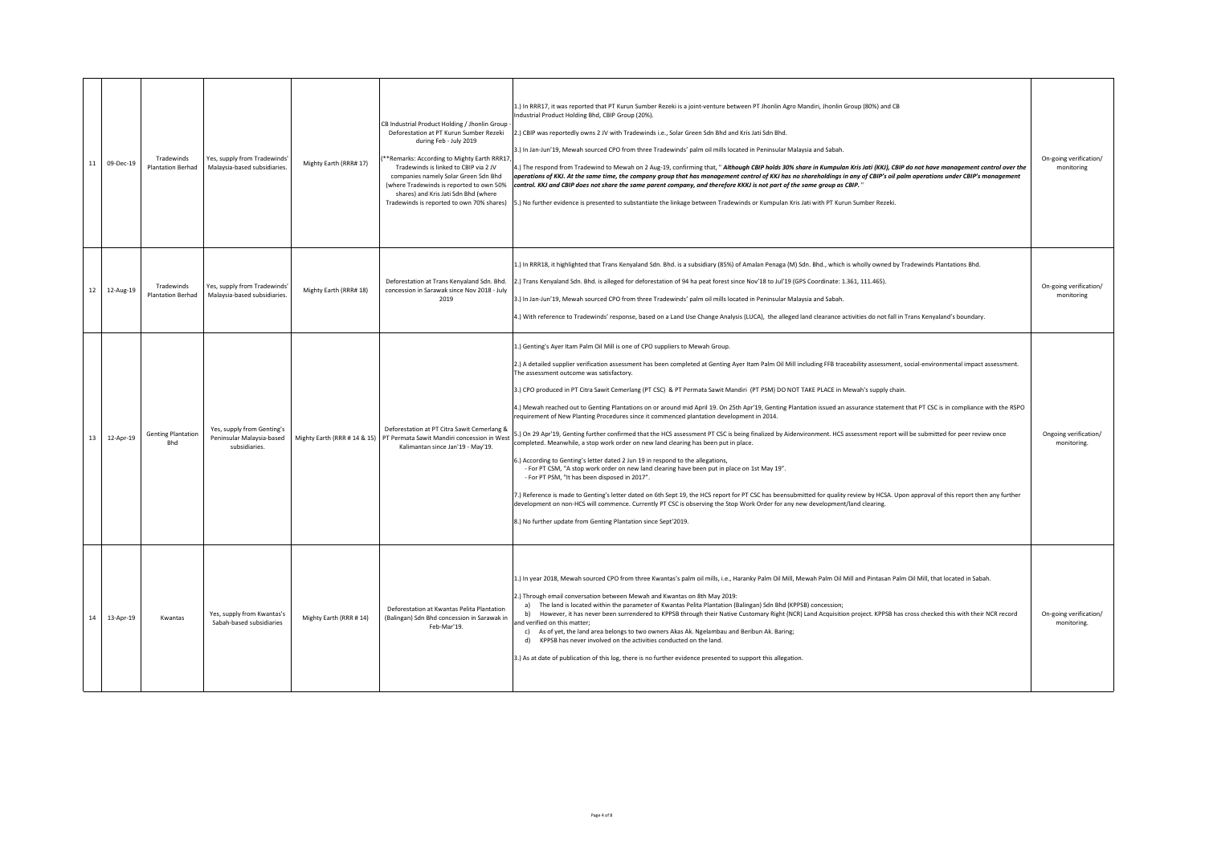| 11 | 09-Dec-19 | Tradewinds<br><b>Plantation Berhad</b> | Yes, supply from Tradewinds'<br>Malaysia-based subsidiaries              | Mighty Earth (RRR# 17) | CB Industrial Product Holding / Jhonlin Group<br>Deforestation at PT Kurun Sumber Rezeki<br>during Feb - July 2019<br>**Remarks: According to Mighty Earth RRR17<br>Tradewinds is linked to CBIP via 2 JV<br>companies namely Solar Green Sdn Bhd<br>(where Tradewinds is reported to own 50%<br>shares) and Kris Jati Sdn Bhd (where<br>Tradewinds is reported to own 70% shares) | 1.) In RRR17, it was reported that PT Kurun Sumber Rezeki is a joint-venture between PT Jhonlin Agro Mandiri, Jhonlin Group (80%) and CB<br>Industrial Product Holding Bhd, CBIP Group (20%).<br>2.) CBIP was reportedly owns 2 JV with Tradewinds i.e., Solar Green Sdn Bhd and Kris Jati Sdn Bhd.<br>3.) In Jan-Jun'19, Mewah sourced CPO from three Tradewinds' palm oil mills located in Peninsular Malaysia and Sabah.<br>4.) The respond from Tradewind to Mewah on 2 Aug-19, confirming that, " Although CBIP holds 30% share in Kumpulan Kris Jati (KKJ), CBIP do not have management control over the<br>operations of KKJ. At the same time, the company group that has management control of KKJ has no shareholdings in any of CBIP's oil palm operations under CBIP's management<br>control. KKJ and CBIP does not share the same parent company, and therefore KKKJ is not part of the same group as CBIP. "<br>5.) No further evidence is presented to substantiate the linkage between Tradewinds or Kumpulan Kris Jati with PT Kurun Sumber Rezeki.                                                                                                                                                                                                                                                                                                                                                                                                                                                                                                                                                                                   | On-going verification/<br>monitoring  |
|----|-----------|----------------------------------------|--------------------------------------------------------------------------|------------------------|------------------------------------------------------------------------------------------------------------------------------------------------------------------------------------------------------------------------------------------------------------------------------------------------------------------------------------------------------------------------------------|--------------------------------------------------------------------------------------------------------------------------------------------------------------------------------------------------------------------------------------------------------------------------------------------------------------------------------------------------------------------------------------------------------------------------------------------------------------------------------------------------------------------------------------------------------------------------------------------------------------------------------------------------------------------------------------------------------------------------------------------------------------------------------------------------------------------------------------------------------------------------------------------------------------------------------------------------------------------------------------------------------------------------------------------------------------------------------------------------------------------------------------------------------------------------------------------------------------------------------------------------------------------------------------------------------------------------------------------------------------------------------------------------------------------------------------------------------------------------------------------------------------------------------------------------------------------------------------------------------------------------------------------------------|---------------------------------------|
| 12 | 12-Aug-19 | Tradewinds<br><b>Plantation Berhad</b> | es, supply from Tradewinds'<br>Malaysia-based subsidiaries               | Mighty Earth (RRR# 18) | Deforestation at Trans Kenvaland Sdn. Bhd.<br>concession in Sarawak since Nov 2018 - July<br>2019                                                                                                                                                                                                                                                                                  | 1.) In RRR18, it highlighted that Trans Kenyaland Sdn. Bhd. is a subsidiary (85%) of Amalan Penaga (M) Sdn. Bhd., which is wholly owned by Tradewinds Plantations Bhd.<br>2.) Trans Kenyaland Sdn. Bhd. is alleged for deforestation of 94 ha peat forest since Nov'18 to Jul'19 (GPS Coordinate: 1.361, 111.465).<br>3.) In Jan-Jun'19, Mewah sourced CPO from three Tradewinds' palm oil mills located in Peninsular Malaysia and Sabah.<br>4.) With reference to Tradewinds' response, based on a Land Use Change Analysis (LUCA), the alleged land clearance activities do not fall in Trans Kenyaland's boundary.                                                                                                                                                                                                                                                                                                                                                                                                                                                                                                                                                                                                                                                                                                                                                                                                                                                                                                                                                                                                                                 | On-going verification/<br>monitoring  |
| 13 | 12-Apr-19 | <b>Genting Plantation</b><br>Rhd       | Yes, supply from Genting's<br>Peninsular Malaysia-based<br>subsidiaries. |                        | Deforestation at PT Citra Sawit Cemerlang &<br>Mighty Earth (RRR # 14 & 15)   PT Permata Sawit Mandiri concession in West<br>Kalimantan since Jan'19 - May'19.                                                                                                                                                                                                                     | 1.) Genting's Ayer Itam Palm Oil Mill is one of CPO suppliers to Mewah Group.<br>2.) A detailed supplier verification assessment has been completed at Genting Ayer Itam Palm Oil Mill including FFB traceability assessment, social-environmental impact assessment.<br>The assessment outcome was satisfactory.<br>3.) CPO produced in PT Citra Sawit Cemerlang (PT CSC) & PT Permata Sawit Mandiri (PT PSM) DO NOT TAKE PLACE in Mewah's supply chain.<br>4.) Mewah reached out to Genting Plantations on or around mid April 19. On 25th Apr'19, Genting Plantation issued an assurance statement that PT CSC is in compliance with the RSPO<br>requirement of New Planting Procedures since it commenced plantation development in 2014.<br>5.) On 29 Apr'19, Genting further confirmed that the HCS assessment PT CSC is being finalized by Aidenvironment. HCS assessment report will be submitted for peer review once<br>completed. Meanwhile, a stop work order on new land clearing has been put in place.<br>6.) According to Genting's letter dated 2 Jun 19 in respond to the allegations,<br>- For PT CSM, "A stop work order on new land clearing have been put in place on 1st May 19".<br>- For PT PSM, "It has been disposed in 2017".<br>7.) Reference is made to Genting's letter dated on 6th Sept 19, the HCS report for PT CSC has beensubmitted for quality review by HCSA. Upon approval of this report then any further<br>development on non-HCS will commence. Currently PT CSC is observing the Stop Work Order for any new development/land clearing.<br>8.) No further update from Genting Plantation since Sept'2019. | Ongoing verification/<br>monitoring.  |
| 14 | 13-Apr-19 | Kwantas                                | Yes, supply from Kwantas's<br>Sabah-based subsidiaries                   | Mighty Earth (RRR #14) | Deforestation at Kwantas Pelita Plantation<br>(Balingan) Sdn Bhd concession in Sarawak in<br>Feb-Mar'19.                                                                                                                                                                                                                                                                           | 1.) In year 2018, Mewah sourced CPO from three Kwantas's palm oil mills, i.e., Haranky Palm Oil Mill, Mewah Palm Oil Mill and Pintasan Palm Oil Mill, that located in Sabah.<br>2.) Through email conversation between Mewah and Kwantas on 8th May 2019:<br>a) The land is located within the parameter of Kwantas Pelita Plantation (Balingan) Sdn Bhd (KPPSB) concession;<br>b) However, it has never been surrendered to KPPSB through their Native Customary Right (NCR) Land Acquisition project. KPPSB has cross checked this with their NCR record<br>and verified on this matter;<br>c) As of yet, the land area belongs to two owners Akas Ak. Ngelambau and Beribun Ak. Baring;<br>d) KPPSB has never involved on the activities conducted on the land.<br>3.) As at date of publication of this log, there is no further evidence presented to support this allegation.                                                                                                                                                                                                                                                                                                                                                                                                                                                                                                                                                                                                                                                                                                                                                                    | On-going verification/<br>monitoring. |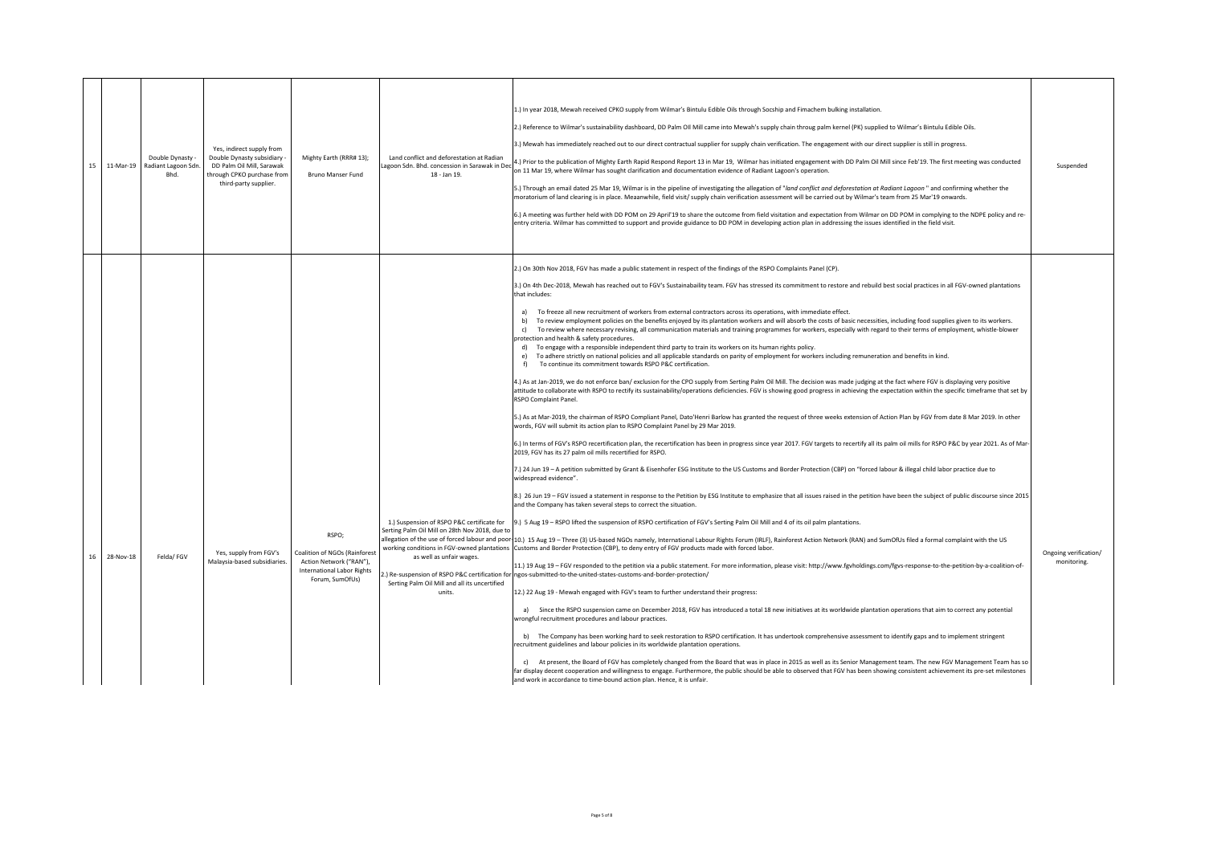| 15 | 11-Mar-19 | Double Dynasty -<br>Radiant Lagoon Sdn.<br>Bhd. | Yes, indirect supply from<br>Double Dynasty subsidiary<br>DD Palm Oil Mill, Sarawak<br>through CPKO purchase from<br>third-party supplier. | Mighty Earth (RRR# 13);<br>Land conflict and deforestation at Radian<br>Lagoon Sdn. Bhd. concession in Sarawak in Dec<br>18 - Jan 19.<br><b>Bruno Manser Fund</b>                                                                                                                                                                                                   | 1.) In year 2018, Mewah received CPKO supply from Wilmar's Bintulu Edible Oils through Socship and Fimachem bulking installation.<br>2.) Reference to Wilmar's sustainability dashboard, DD Palm Oll Mill came into Mewah's supply chain throug palm kernel (PK) supplied to Wilmar's Bintulu Edible Oils.<br>3.) Mewah has immediately reached out to our direct contractual supplier for supply chain verification. The engagement with our direct supplier is still in progress.<br>4.) Prior to the publication of Mighty Earth Rapid Respond Report 13 in Mar 19, Wilmar has initiated engagement with DD Palm Oil Mill since Feb'19. The first meeting was conducted<br>on 11 Mar 19, where Wilmar has sought clarification and documentation evidence of Radiant Lagoon's operation.<br>5.) Through an email dated 25 Mar 19, Wilmar is in the pipeline of investigating the allegation of "land conflict and deforestation at Radiant Lagoon" and confirming whether the<br>moratorium of land clearing is in place. Meaanwhile, field visit/ supply chain verification assessment will be carried out by Wilmar's team from 25 Mar'19 onwards.<br>6.) A meeting was further held with DD POM on 29 April'19 to share the outcome from field visitation and expectation from Wilmar on DD POM in complying to the NDPE policy and re-<br>entry criteria. Wilmar has committed to support and provide guidance to DD POM in developing action plan in addressing the issues identified in the field visit.                                                                                                                                                                                                                                                                                                                                                                                                                                                                                                                                                                                                                                                                                                                                                                                                                                                                                                                                                                                                                                                                                                                                                                                                                                                                                                                                                                                                                                                                                                                                                                                                                                                                                                                                                                                                                                                                                                                                                                                                                                                                                                                                                                                                                                                                                                                                                                                                                                                                                                                                                                                                                                                                                                                                                                                                                                                                                                                                                                     | Suspended                            |
|----|-----------|-------------------------------------------------|--------------------------------------------------------------------------------------------------------------------------------------------|---------------------------------------------------------------------------------------------------------------------------------------------------------------------------------------------------------------------------------------------------------------------------------------------------------------------------------------------------------------------|---------------------------------------------------------------------------------------------------------------------------------------------------------------------------------------------------------------------------------------------------------------------------------------------------------------------------------------------------------------------------------------------------------------------------------------------------------------------------------------------------------------------------------------------------------------------------------------------------------------------------------------------------------------------------------------------------------------------------------------------------------------------------------------------------------------------------------------------------------------------------------------------------------------------------------------------------------------------------------------------------------------------------------------------------------------------------------------------------------------------------------------------------------------------------------------------------------------------------------------------------------------------------------------------------------------------------------------------------------------------------------------------------------------------------------------------------------------------------------------------------------------------------------------------------------------------------------------------------------------------------------------------------------------------------------------------------------------------------------------------------------------------------------------------------------------------------------------------------------------------------------------------------------------------------------------------------------------------------------------------------------------------------------------------------------------------------------------------------------------------------------------------------------------------------------------------------------------------------------------------------------------------------------------------------------------------------------------------------------------------------------------------------------------------------------------------------------------------------------------------------------------------------------------------------------------------------------------------------------------------------------------------------------------------------------------------------------------------------------------------------------------------------------------------------------------------------------------------------------------------------------------------------------------------------------------------------------------------------------------------------------------------------------------------------------------------------------------------------------------------------------------------------------------------------------------------------------------------------------------------------------------------------------------------------------------------------------------------------------------------------------------------------------------------------------------------------------------------------------------------------------------------------------------------------------------------------------------------------------------------------------------------------------------------------------------------------------------------------------------------------------------------------------------------------------------------------------------------------------------------------------------------------------------------------------------------------------------------------------------------------------------------------------------------------------------------------------------------------------------------------------------------------------------------------------------------------------------------------------------------------------------------------------------------------------------------------------------------------------------------------------------------------------------------------------------------------------------------------------------|--------------------------------------|
| 16 | 28-Nov-18 | Felda/FGV                                       | Yes, supply from FGV's<br>Malaysia-based subsidiaries.                                                                                     | 1.) Suspension of RSPO P&C certificate for<br>Serting Palm Oil Mill on 28th Nov 2018, due to<br>RSPO:<br>Coalition of NGOs (Rainforest<br>as well as unfair wages.<br>Action Network ("RAN"),<br><b>International Labor Rights</b><br>2.) Re-suspension of RSPO P&C certification for<br>Forum, SumOfUs)<br>Serting Palm Oil Mill and all its uncertified<br>units. | 2.) On 30th Nov 2018, FGV has made a public statement in respect of the findings of the RSPO Complaints Panel (CP).<br>3.) On 4th Dec-2018, Mewah has reached out to FGV's Sustainabaility team. FGV has stressed its commitment to restore and rebuild best social practices in all FGV-owned plantations<br>that includes:<br>a) To freeze all new recruitment of workers from external contractors across its operations, with immediate effect.<br>To review employment policies on the benefits enjoyed by its plantation workers and will absorb the costs of basic necessities, including food supplies given to its workers.<br>h)<br>c) To review where necessary revising, all communication materials and training programmes for workers, especially with regard to their terms of employment, whistle-blower<br>protection and health & safety procedures.<br>d) To engage with a responsible independent third party to train its workers on its human rights policy.<br>e) To adhere strictly on national policies and all applicable standards on parity of employment for workers including remuneration and benefits in kind.<br>To continue its commitment towards RSPO P&C certification.<br>f<br>4.) As at Jan-2019, we do not enforce ban/exclusion for the CPO supply from Serting Palm Oil Mill. The decision was made judging at the fact where FGV is displaying very positive<br>attitude to collaborate with RSPO to rectify its sustainability/operations deficiencies. FGV is showing good progress in achieving the expectation within the specific timeframe that set by<br>RSPO Complaint Panel.<br>5.) As at Mar-2019, the chairman of RSPO Compliant Panel, Dato'Henri Barlow has granted the request of three weeks extension of Action Plan by FGV from date 8 Mar 2019. In other<br>words, FGV will submit its action plan to RSPO Complaint Panel by 29 Mar 2019.<br>6.) In terms of FGV's RSPO recertification plan, the recertification has been in progress since year 2017. FGV targets to recertify all its palm oil mills for RSPO P&C by year 2021. As of Mar<br>2019, FGV has its 27 palm oil mills recertified for RSPO.<br>7.) 24 Jun 19 - A petition submitted by Grant & Eisenhofer ESG Institute to the US Customs and Border Protection (CBP) on "forced labour & illegal child labor practice due to<br>widespread evidence".<br>8.) 26 Jun 19 - FGV issued a statement in response to the Petition by ESG Institute to emphasize that all issues raised in the petition have been the subject of public discourse since 2015<br>and the Company has taken several steps to correct the situation.<br>9.) 5 Aug 19 - RSPO lifted the suspension of RSPO certification of FGV's Serting Palm Oil Mill and 4 of its oil palm plantations.<br>allegation of the use of forced labour and poor 10.) 15 Aug 19 - Three (3) US based NGOs namely, International Labour Rights Forum (IRLF), Rainforest Action Network (RAN) and SumOfUs filed a formal complaint with the US<br>working conditions in FGV-owned plantations   Customs and Border Protection (CBP), to deny entry of FGV products made with forced labor.<br>11.) 19 Aug 19 - FGV responded to the petition via a public statement. For more information, please visit: http://www.fgvholdings.com/fgvs-response-to-the-petition-by-a-coalition-of-<br>ngos-submitted-to-the-united-states-customs-and-border-protection/<br>12.) 22 Aug 19 - Mewah engaged with FGV's team to further understand their progress:<br>a) Since the RSPO suspension came on December 2018, FGV has introduced a total 18 new initiatives at its worldwide plantation operations that aim to correct any potential<br>wrongful recruitment procedures and labour practices.<br>b) The Company has been working hard to seek restoration to RSPO certification. It has undertook comprehensive assessment to identify gaps and to implement stringent<br>recruitment guidelines and labour policies in its worldwide plantation operations.<br>c) At present, the Board of FGV has completely changed from the Board that was in place in 2015 as well as its Senior Management team. The new FGV Management Team has so<br>far display decent cooperation and willingness to engage. Furthermore, the public should be able to observed that FGV has been showing consistent achievement its pre-set milestones<br>and work in accordance to time-bound action plan. Hence, it is unfair. | Ongoing verification/<br>monitoring. |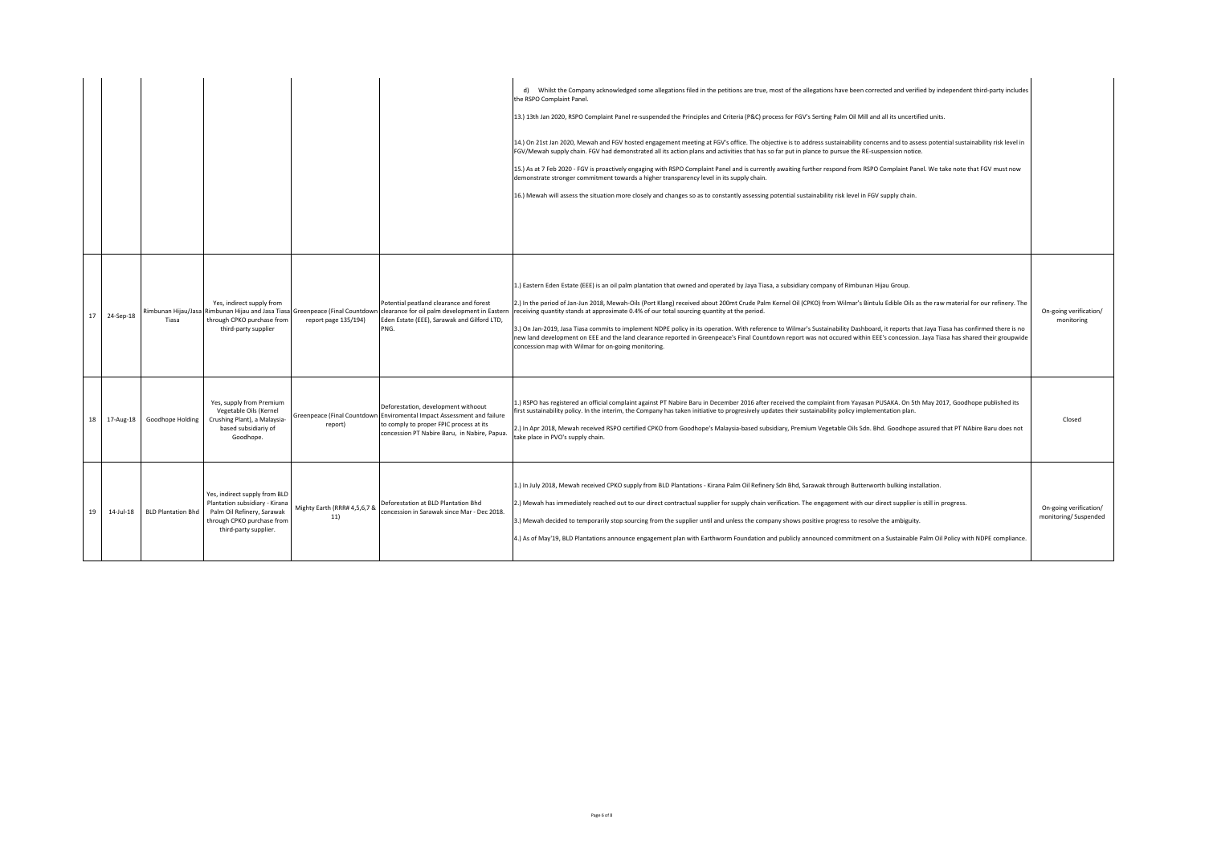|    |           |                           |                                                                                                                                                                                             |                                                                                                                                                                              | d) Whilst the Company acknowledged some allegations filed in the petitions are true, most of the allegations have been corrected and verified by independent third-party includes<br>the RSPO Complaint Panel.<br>13.) 13th Jan 2020, RSPO Complaint Panel re-suspended the Principles and Criteria (P&C) process for FGV's Serting Palm Oil Mill and all its uncertified units.<br>14.) On 21st Jan 2020, Mewah and FGV hosted engagement meeting at FGV's office. The objective is to address sustainability concerns and to assess potential sustainability risk level in<br>FGV/Mewah supply chain. FGV had demonstrated all its action plans and activities that has so far put in plance to pursue the RE-suspension notice.<br>15.) As at 7 Feb 2020 - FGV is proactively engaging with RSPO Complaint Panel and is currently awaiting further respond from RSPO Complaint Panel. We take note that FGV must now<br>demonstrate stronger commitment towards a higher transparency level in its supply chain.<br>16.) Mewah will assess the situation more closely and changes so as to constantly assessing potential sustainability risk level in FGV supply chain. |                                                |
|----|-----------|---------------------------|---------------------------------------------------------------------------------------------------------------------------------------------------------------------------------------------|------------------------------------------------------------------------------------------------------------------------------------------------------------------------------|-----------------------------------------------------------------------------------------------------------------------------------------------------------------------------------------------------------------------------------------------------------------------------------------------------------------------------------------------------------------------------------------------------------------------------------------------------------------------------------------------------------------------------------------------------------------------------------------------------------------------------------------------------------------------------------------------------------------------------------------------------------------------------------------------------------------------------------------------------------------------------------------------------------------------------------------------------------------------------------------------------------------------------------------------------------------------------------------------------------------------------------------------------------------------------|------------------------------------------------|
| 17 | 24-Sep-18 | Tiasa                     | Yes, indirect supply from<br>Rimbunan Hijau/Jasa Rimbunan Hijau and Jasa Tiasa<br>Greenpeace (Final Countdow<br>through CPKO purchase from<br>report page 135/194)<br>third-party supplier  | Potential peatland clearance and forest<br>clearance for oil palm development in Eastern<br>Eden Estate (EEE), Sarawak and Gilford LTD,<br>PNG.                              | 1.) Eastern Eden Estate (EEE) is an oil palm plantation that owned and operated by Jaya Tiasa, a subsidiary company of Rimbunan Hijau Group.<br>2.) In the period of Jan-Jun 2018, Mewah-Oils (Port Klang) received about 200mt Crude Palm Kernel Oil (CPKO) from Wilmar's Bintulu Edible Oils as the raw material for our refinery. The<br>receiving quantity stands at approximate 0.4% of our total sourcing quantity at the period.<br>3.) On Jan-2019, Jasa Tiasa commits to implement NDPE policy in its operation. With reference to Wilmar's Sustainability Dashboard, it reports that Jaya Tiasa has confirmed there is no<br>new land development on EEE and the land clearance reported in Greenpeace's Final Countdown report was not occured within EEE's concession. Jaya Tiasa has shared their groupwide<br>concession map with Wilmar for on-going monitoring.                                                                                                                                                                                                                                                                                             | On-going verification/<br>monitoring           |
| 18 | 17-Aug-18 | Goodhope Holding          | Yes, supply from Premium<br>Vegetable Oils (Kernel<br><b>Greenpeace (Final Countdowr</b><br>Crushing Plant), a Malaysia-<br>report)<br>based subsidiariy of<br>Goodhope.                    | Deforestation, development withoout<br>Enviromental Impact Assessment and failure<br>to comply to proper FPIC process at its<br>concession PT Nabire Baru, in Nabire, Papua. | 1.) RSPO has registered an official complaint against PT Nabire Baru in December 2016 after received the complaint from Yayasan PUSAKA. On 5th May 2017, Goodhope published its<br>first sustainability policy. In the interim, the Company has taken initiative to progresively updates their sustainability policy implementation plan.<br>2.) In Apr 2018, Mewah received RSPO certified CPKO from Goodhope's Malaysia-based subsidiary, Premium Vegetable Oils Sdn. Bhd. Goodhope assured that PT NAbire Baru does not<br>take place in PVO's supply chain.                                                                                                                                                                                                                                                                                                                                                                                                                                                                                                                                                                                                             | Closed                                         |
| 19 | 14-Jul-18 | <b>BLD Plantation Bhd</b> | Yes, indirect supply from BLD<br>Plantation subsidiary - Kirana<br>Mighty Earth (RRR# 4,5,6,7 &<br>Palm Oil Refinery, Sarawak<br>11)<br>through CPKO purchase from<br>third-party supplier. | Deforestation at BLD Plantation Bhd<br>concession in Sarawak since Mar - Dec 2018.                                                                                           | 1.) In July 2018, Mewah received CPKO supply from BLD Plantations - Kirana Palm Oil Refinery Sdn Bhd, Sarawak through Butterworth bulking installation.<br>2.) Mewah has immediately reached out to our direct contractual supplier for supply chain verification. The engagement with our direct supplier is still in progress.<br>3.) Mewah decided to temporarily stop sourcing from the supplier until and unless the company shows positive progress to resolve the ambiguity.<br>4.) As of May'19, BLD Plantations announce engagement plan with Earthworm Foundation and publicly announced commitment on a Sustainable Palm Oil Policy with NDPE compliance.                                                                                                                                                                                                                                                                                                                                                                                                                                                                                                        | On-going verification/<br>monitoring/Suspended |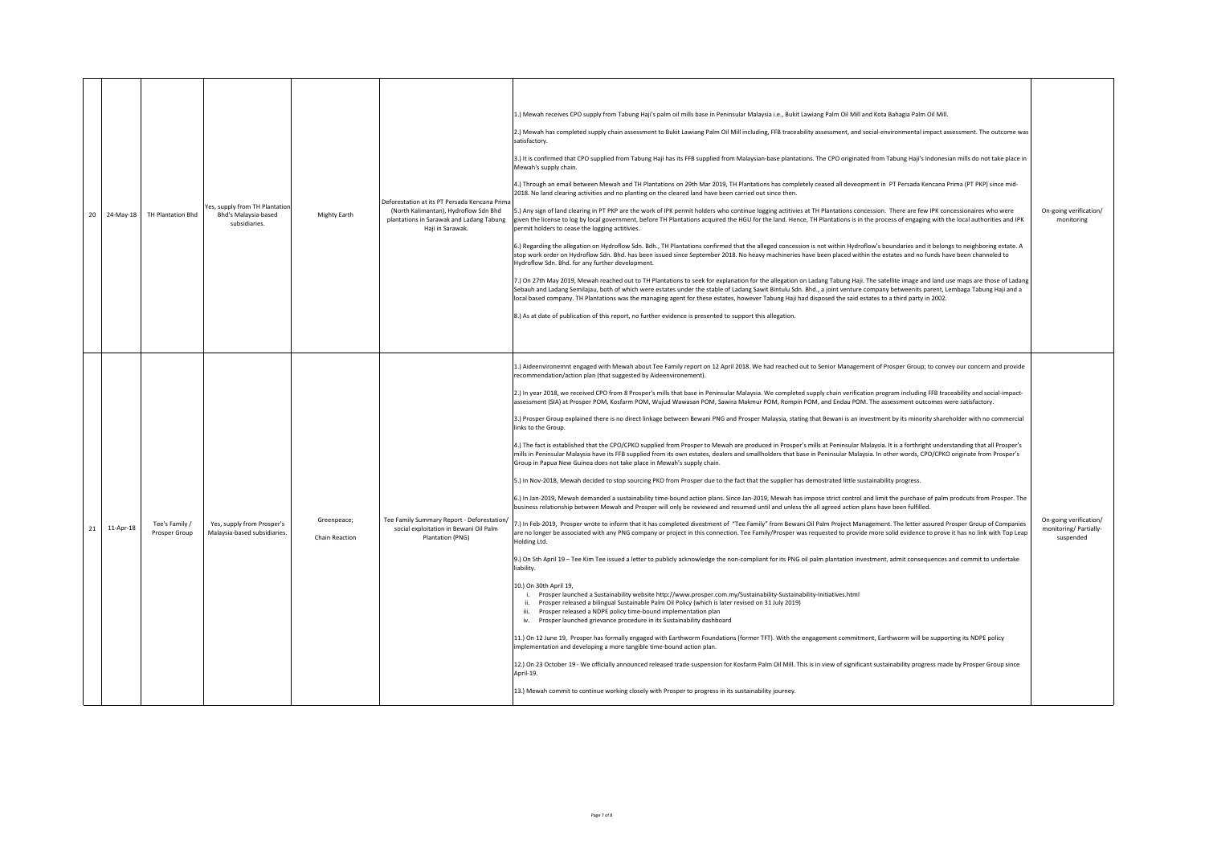| 20 | 24-May-18<br>TH Plantation Bhd               | es, supply from TH Plantation<br>Bhd's Malaysia-based<br>subsidiaries. | Mighty Earth                  | Deforestation at its PT Persada Kencana Prima<br>(North Kalimantan), Hydroflow Sdn Bhd<br>plantations in Sarawak and Ladang Tabung<br>Haji in Sarawak. | 1.) Mewah receives CPO supply from Tabung Haji's palm oil mills base in Peninsular Malaysia i.e., Bukit Lawiang Palm Oil Mill and Kota Bahagia Palm Oil Mill.<br>2.) Mewah has completed supply chain assessment to Bukit Lawiang Palm Oil Mill including, FFB traceability assessment, and social-environmental impact assessment. The outcome was<br>satisfactory.<br>3.) It is confirmed that CPO supplied from Tabung Haji has its FFB supplied from Malaysian-base plantations. The CPO originated from Tabung Haji's Indonesian mills do not take place in<br>Mewah's supply chain.<br>4.) Through an email between Mewah and TH Plantations on 29th Mar 2019, TH Plantations has completely ceased all deveopment in PT Persada Kencana Prima (PT PKP) since mid-<br>2018. No land clearing activities and no planting on the cleared land have been carried out since then.<br>5.) Any sign of land clearing in PT PKP are the work of IPK permit holders who continue logging actitivies at TH Plantations concession. There are few IPK concessionaires who were<br>given the license to log by local government, before TH Plantations acquired the HGU for the land. Hence, TH Plantations is in the process of engaging with the local authorities and IPK<br>permit holders to cease the logging actitivies.<br>6.) Regarding the allegation on Hydroflow Sdn. Bdh., TH Plantations confirmed that the alleged concession is not within Hydroflow's boundaries and it belongs to neighboring estate. A<br>stop work order on Hydroflow Sdn. Bhd. has been issued since September 2018. No heavy machineries have been placed within the estates and no funds have been channeled to<br>Hydroflow Sdn. Bhd. for any further development.<br>7.) On 27th May 2019, Mewah reached out to TH Plantations to seek for explanation for the allegation on Ladang Tabung Haji. The satellite image and land use maps are those of Ladang<br>Sebauh and Ladang Semilajau, both of which were estates under the stable of Ladang Sawit Bintulu Sdn. Bhd., a joint venture company betweenits parent, Lembaga Tabung Haji and a<br>local based company. TH Plantations was the managing agent for these estates, however Tabung Haji had disposed the said estates to a third party in 2002.<br>8.) As at date of publication of this report, no further evidence is presented to support this allegation.                                                                                                                                                                                                                                                                                                                                                                                                                                                                                                                                                                                                                                                                                                                                                                                                                                                                                                                                                                 | On-going verification/<br>monitoring                         |
|----|----------------------------------------------|------------------------------------------------------------------------|-------------------------------|--------------------------------------------------------------------------------------------------------------------------------------------------------|-------------------------------------------------------------------------------------------------------------------------------------------------------------------------------------------------------------------------------------------------------------------------------------------------------------------------------------------------------------------------------------------------------------------------------------------------------------------------------------------------------------------------------------------------------------------------------------------------------------------------------------------------------------------------------------------------------------------------------------------------------------------------------------------------------------------------------------------------------------------------------------------------------------------------------------------------------------------------------------------------------------------------------------------------------------------------------------------------------------------------------------------------------------------------------------------------------------------------------------------------------------------------------------------------------------------------------------------------------------------------------------------------------------------------------------------------------------------------------------------------------------------------------------------------------------------------------------------------------------------------------------------------------------------------------------------------------------------------------------------------------------------------------------------------------------------------------------------------------------------------------------------------------------------------------------------------------------------------------------------------------------------------------------------------------------------------------------------------------------------------------------------------------------------------------------------------------------------------------------------------------------------------------------------------------------------------------------------------------------------------------------------------------------------------------------------------------------------------------------------------------------------------------------------------------------------------------------------------------------------------------------------------------------------------------------------------------------------------------------------------------------------------------------------------------------------------------------------------------------------------------------------------------------------------------------------------------------------------------------------------------------------------------------------------------------------------------------------------------------------------------------------------------------------------------------------------------------------------------------------------------------------------------------------------------------------------------------------------------------------------------|--------------------------------------------------------------|
| 21 | Tee's Family /<br>11-Apr-18<br>Prosper Group | Yes, supply from Prosper's<br>Malaysia-based subsidiaries.             | Greenpeace;<br>Chain Reaction | Tee Family Summary Report - Deforestation/<br>social exploitation in Bewani Oil Palm<br>Plantation (PNG)                                               | 1.) Aideenvironemnt engaged with Mewah about Tee Family report on 12 April 2018. We had reached out to Senior Management of Prosper Group; to convey our concern and provide<br>recommendation/action plan (that suggested by Aideenvironement).<br>2.) In year 2018, we received CPO from 8 Prosper's mills that base in Peninsular Malaysia. We completed supply chain verification program including FFB traceability and social-impact-<br>assessment (SIA) at Prosper POM, Kosfarm POM, Wujud Wawasan POM, Sawira Makmur POM, Rompin POM, and Endau POM. The assessment outcomes were satisfactory.<br>3.) Prosper Group explained there is no direct linkage between Bewani PNG and Prosper Malaysia, stating that Bewani is an investment by its minority shareholder with no commercial<br>links to the Group.<br>4.) The fact is established that the CPO/CPKO supplied from Prosper to Mewah are produced in Prosper's mills at Peninsular Malaysia. It is a forthright understanding that all Prosper's<br>mills in Peninsular Malaysia have its FFB supplied from its own estates, dealers and smallholders that base in Peninsular Malaysia. In other words, CPO/CPKO originate from Prosper's<br>Group in Papua New Guinea does not take place in Mewah's supply chain.<br>5.) In Nov-2018, Mewah decided to stop sourcing PKO from Prosper due to the fact that the supplier has demostrated little sustainability progress.<br>[6.] In Jan-2019, Mewah demanded a sustainability time-bound action plans. Since Jan-2019, Mewah has impose strict control and limit the purchase of palm prodcuts from Prosper. The<br>business relationship between Mewah and Prosper will only be reviewed and resumed until and unless the all agreed action plans have been fulfilled.<br>7.) In Feb-2019. Prosper wrote to inform that it has completed divestment of "Tee Family" from Bewani Oil Palm Proiect Management. The letter assured Prosper Group of Companies<br>are no longer be associated with any PNG company or project in this connection. Tee Family/Prosper was requested to provide more solid evidence to prove it has no link with Top Leap<br>Holding Ltd.<br>9.) On 5th April 19 - Tee Kim Tee issued a letter to publicly acknowledge the non-compliant for its PNG oil palm plantation investment, admit consequences and commit to undertake<br>liability.<br>10.) On 30th April 19,<br>i. Prosper launched a Sustainability website http://www.prosper.com.my/Sustainability-Sustainability-Initiatives.html<br>ii. Prosper released a bilingual Sustainable Palm Oil Policy (which is later revised on 31 July 2019)<br>iii. Prosper released a NDPE policy time-bound implementation plan<br>iv. Prosper launched grievance procedure in its Sustainability dashboard<br>11.) On 12 June 19, Prosper has formally engaged with Earthworm Foundations (former TFT). With the engagement commitment, Earthworm will be supporting its NDPE policy<br>implementation and developing a more tangible time-bound action plan.<br>12.) On 23 October 19 - We officially announced released trade suspension for Kosfarm Palm Oil Mill. This is in view of significant sustainability progress made by Prosper Group since<br>April-19.<br>13.) Mewah commit to continue working closely with Prosper to progress in its sustainability journey. | On-going verification/<br>monitoring/Partially-<br>suspended |